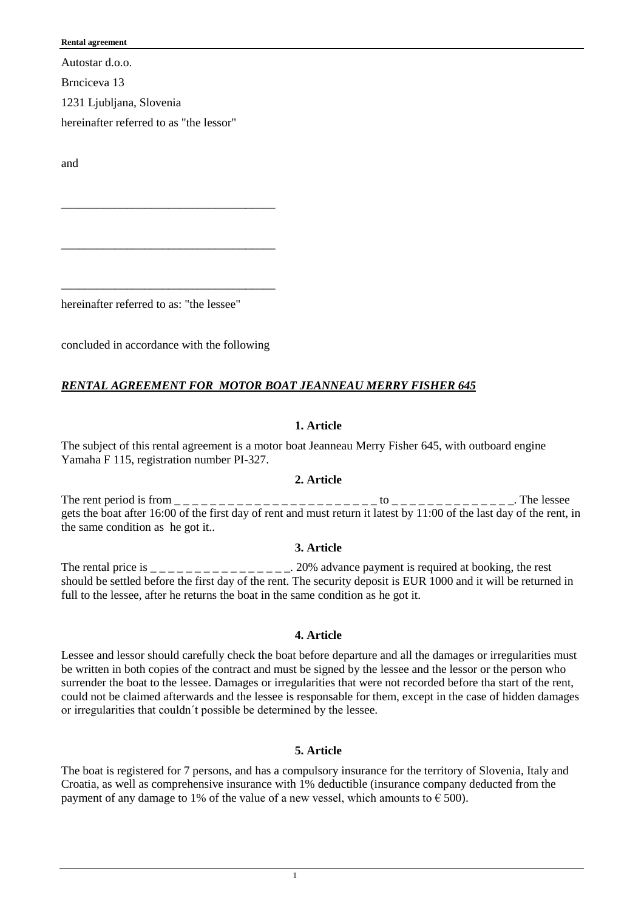#### **Rental agreement**

Autostar d.o.o.

Brnciceva 13

1231 Ljubljana, Slovenia

hereinafter referred to as "the lessor"

and

hereinafter referred to as: "the lessee"

concluded in accordance with the following

\_\_\_\_\_\_\_\_\_\_\_\_\_\_\_\_\_\_\_\_\_\_\_\_\_\_\_\_\_\_\_\_\_\_\_\_

\_\_\_\_\_\_\_\_\_\_\_\_\_\_\_\_\_\_\_\_\_\_\_\_\_\_\_\_\_\_\_\_\_\_\_\_

\_\_\_\_\_\_\_\_\_\_\_\_\_\_\_\_\_\_\_\_\_\_\_\_\_\_\_\_\_\_\_\_\_\_\_\_

# *RENTAL AGREEMENT FOR MOTOR BOAT JEANNEAU MERRY FISHER 645*

# **1. Article**

The subject of this rental agreement is a motor boat Jeanneau Merry Fisher 645, with outboard engine Yamaha F 115, registration number PI-327.

#### **2. Article**

The rent period is from \_ \_ \_ \_ \_ \_ \_ \_ \_ \_ \_ \_ \_ \_ \_ \_ \_ \_ \_ \_ \_ \_ \_ to \_ \_ \_ \_ \_ \_ \_ \_ \_ \_ \_ \_ \_ \_. The lessee gets the boat after 16:00 of the first day of rent and must return it latest by 11:00 of the last day of the rent, in the same condition as he got it..

#### **3. Article**

The rental price is  $\frac{1}{2}$  =  $\frac{1}{2}$  =  $\frac{1}{2}$  =  $\frac{1}{2}$  =  $\frac{1}{2}$  =  $\frac{1}{2}$  20% advance payment is required at booking, the rest should be settled before the first day of the rent. The security deposit is EUR 1000 and it will be returned in full to the lessee, after he returns the boat in the same condition as he got it.

#### **4. Article**

Lessee and lessor should carefully check the boat before departure and all the damages or irregularities must be written in both copies of the contract and must be signed by the lessee and the lessor or the person who surrender the boat to the lessee. Damages or irregularities that were not recorded before tha start of the rent, could not be claimed afterwards and the lessee is responsable for them, except in the case of hidden damages or irregularities that couldn´t possible be determined by the lessee.

# **5. Article**

The boat is registered for 7 persons, and has a compulsory insurance for the territory of Slovenia, Italy and Croatia, as well as comprehensive insurance with 1% deductible (insurance company deducted from the payment of any damage to 1% of the value of a new vessel, which amounts to  $\epsilon$  500).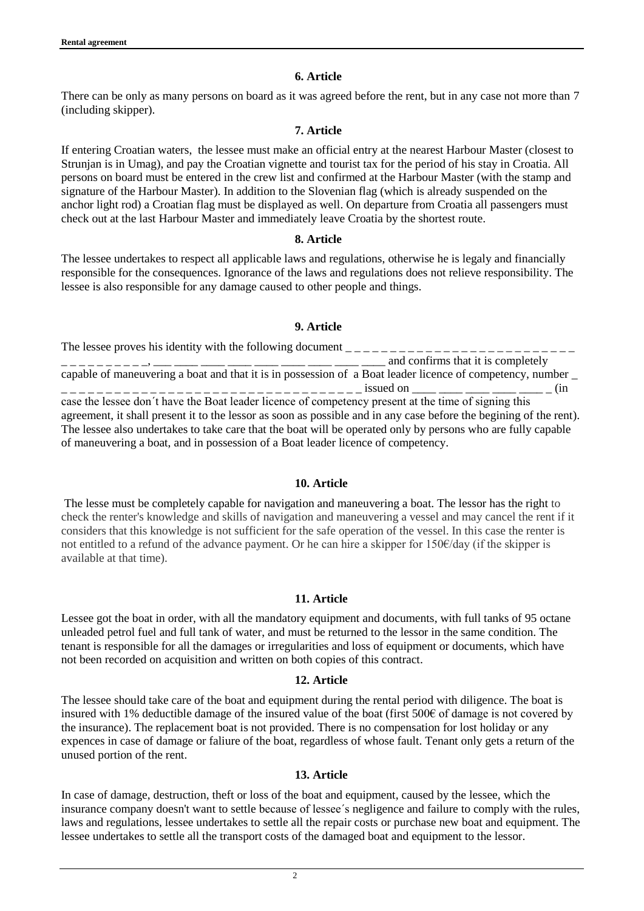### **6. Article**

There can be only as many persons on board as it was agreed before the rent, but in any case not more than 7 (including skipper).

# **7. Article**

If entering Croatian waters, the lessee must make an official entry at the nearest Harbour Master (closest to Strunjan is in Umag), and pay the Croatian vignette and tourist tax for the period of his stay in Croatia. All persons on board must be entered in the crew list and confirmed at the Harbour Master (with the stamp and signature of the Harbour Master). In addition to the Slovenian flag (which is already suspended on the anchor light rod) a Croatian flag must be displayed as well. On departure from Croatia all passengers must check out at the last Harbour Master and immediately leave Croatia by the shortest route.

#### **8. Article**

The lessee undertakes to respect all applicable laws and regulations, otherwise he is legaly and financially responsible for the consequences. Ignorance of the laws and regulations does not relieve responsibility. The lessee is also responsible for any damage caused to other people and things.

#### **9. Article**

The lessee proves his identity with the following document  $\frac{1}{1}$  $\Box$  and confirms that it is completely capable of maneuvering a boat and that it is in possession of a Boat leader licence of competency, number \_ \_ \_ \_ \_ \_ \_ \_ \_ \_ \_ \_ \_ \_ \_ \_ \_ \_ \_ \_ \_ \_ \_ \_ \_ \_ \_ \_ \_ \_ \_ \_ \_ \_ \_ issued on \_\_\_\_ \_\_\_\_ \_\_\_\_ \_\_\_\_ \_\_\_\_ \_ (in case the lessee don´t have the Boat leader licence of competency present at the time of signing this agreement, it shall present it to the lessor as soon as possible and in any case before the begining of the rent). The lessee also undertakes to take care that the boat will be operated only by persons who are fully capable of maneuvering a boat, and in possession of a Boat leader licence of competency.

#### **10. Article**

The lesse must be completely capable for navigation and maneuvering a boat. The lessor has the right to check the renter's knowledge and skills of navigation and maneuvering a vessel and may cancel the rent if it considers that this knowledge is not sufficient for the safe operation of the vessel. In this case the renter is not entitled to a refund of the advance payment. Or he can hire a skipper for 150€/day (if the skipper is available at that time).

#### **11. Article**

Lessee got the boat in order, with all the mandatory equipment and documents, with full tanks of 95 octane unleaded petrol fuel and full tank of water, and must be returned to the lessor in the same condition. The tenant is responsible for all the damages or irregularities and loss of equipment or documents, which have not been recorded on acquisition and written on both copies of this contract.

#### **12. Article**

The lessee should take care of the boat and equipment during the rental period with diligence. The boat is insured with 1% deductible damage of the insured value of the boat (first  $500\epsilon$  of damage is not covered by the insurance). The replacement boat is not provided. There is no compensation for lost holiday or any expences in case of damage or faliure of the boat, regardless of whose fault. Tenant only gets a return of the unused portion of the rent.

#### **13. Article**

In case of damage, destruction, theft or loss of the boat and equipment, caused by the lessee, which the insurance company doesn't want to settle because of lessee´s negligence and failure to comply with the rules, laws and regulations, lessee undertakes to settle all the repair costs or purchase new boat and equipment. The lessee undertakes to settle all the transport costs of the damaged boat and equipment to the lessor.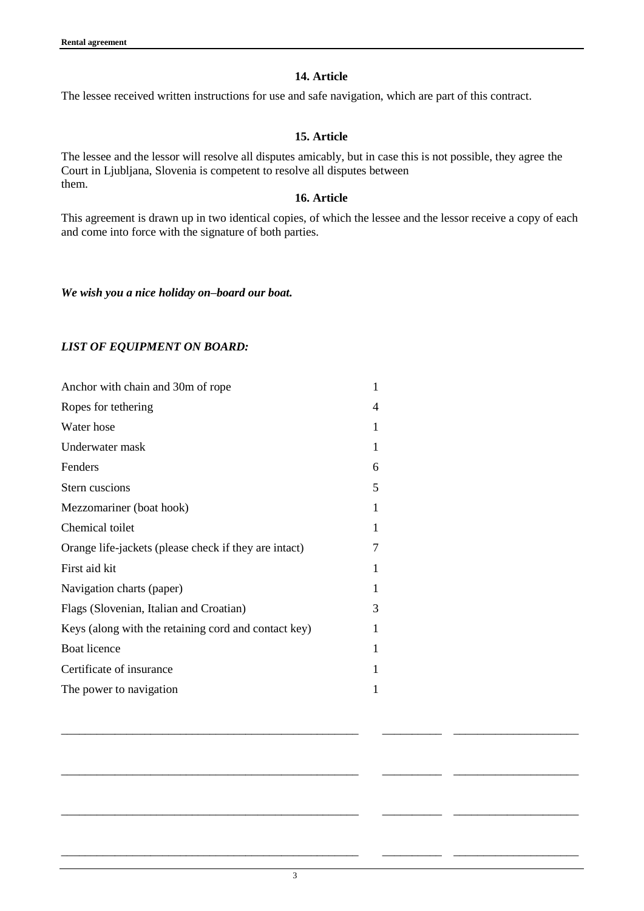# **14. Article**

The lessee received written instructions for use and safe navigation, which are part of this contract.

# **15. Article**

The lessee and the lessor will resolve all disputes amicably, but in case this is not possible, they agree the Court in Ljubljana, Slovenia is competent to resolve all disputes between them.

# **16. Article**

This agreement is drawn up in two identical copies, of which the lessee and the lessor receive a copy of each and come into force with the signature of both parties.

*We wish you a nice holiday on–board our boat.*

# *LIST OF EQUIPMENT ON BOARD:*

| Anchor with chain and 30m of rope                     | 1 |
|-------------------------------------------------------|---|
| Ropes for tethering                                   | 4 |
| Water hose                                            | 1 |
| Underwater mask                                       | 1 |
| Fenders                                               | 6 |
| Stern cuscions                                        | 5 |
| Mezzomariner (boat hook)                              | 1 |
| Chemical toilet                                       | 1 |
| Orange life-jackets (please check if they are intact) | 7 |
| First aid kit                                         | 1 |
| Navigation charts (paper)                             | 1 |
| Flags (Slovenian, Italian and Croatian)               | 3 |
| Keys (along with the retaining cord and contact key)  | 1 |
| <b>Boat licence</b>                                   | 1 |
| Certificate of insurance                              |   |
| The power to navigation                               | 1 |
|                                                       |   |

\_\_\_\_\_\_\_\_\_\_\_\_\_\_\_\_\_\_\_\_\_\_\_\_\_\_\_\_\_\_\_\_\_\_\_\_\_\_\_\_\_\_\_\_\_\_\_\_\_\_ \_\_\_\_\_\_\_\_\_\_ \_\_\_\_\_\_\_\_\_\_\_\_\_\_\_\_\_\_\_\_\_

\_\_\_\_\_\_\_\_\_\_\_\_\_\_\_\_\_\_\_\_\_\_\_\_\_\_\_\_\_\_\_\_\_\_\_\_\_\_\_\_\_\_\_\_\_\_\_\_\_\_ \_\_\_\_\_\_\_\_\_\_ \_\_\_\_\_\_\_\_\_\_\_\_\_\_\_\_\_\_\_\_\_

\_\_\_\_\_\_\_\_\_\_\_\_\_\_\_\_\_\_\_\_\_\_\_\_\_\_\_\_\_\_\_\_\_\_\_\_\_\_\_\_\_\_\_\_\_\_\_\_\_\_ \_\_\_\_\_\_\_\_\_\_ \_\_\_\_\_\_\_\_\_\_\_\_\_\_\_\_\_\_\_\_\_

\_\_\_\_\_\_\_\_\_\_\_\_\_\_\_\_\_\_\_\_\_\_\_\_\_\_\_\_\_\_\_\_\_\_\_\_\_\_\_\_\_\_\_\_\_\_\_\_\_\_ \_\_\_\_\_\_\_\_\_\_ \_\_\_\_\_\_\_\_\_\_\_\_\_\_\_\_\_\_\_\_\_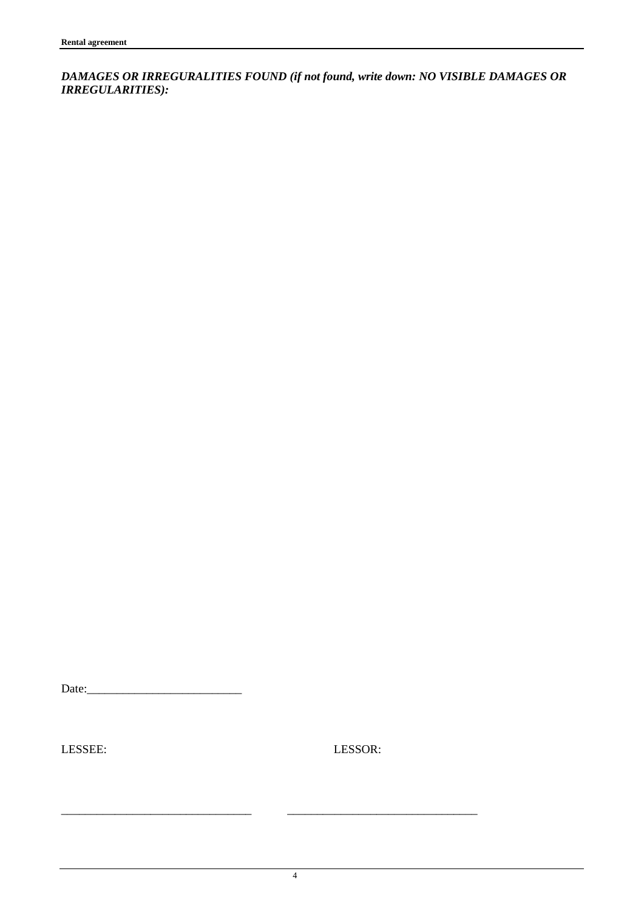*DAMAGES OR IRREGURALITIES FOUND (if not found, write down: NO VISIBLE DAMAGES OR IRREGULARITIES):*

Date:\_\_\_\_\_\_\_\_\_\_\_\_\_\_\_\_\_\_\_\_\_\_\_\_\_\_

LESSEE: LESSOR:

\_\_\_\_\_\_\_\_\_\_\_\_\_\_\_\_\_\_\_\_\_\_\_\_\_\_\_\_\_\_\_\_ \_\_\_\_\_\_\_\_\_\_\_\_\_\_\_\_\_\_\_\_\_\_\_\_\_\_\_\_\_\_\_\_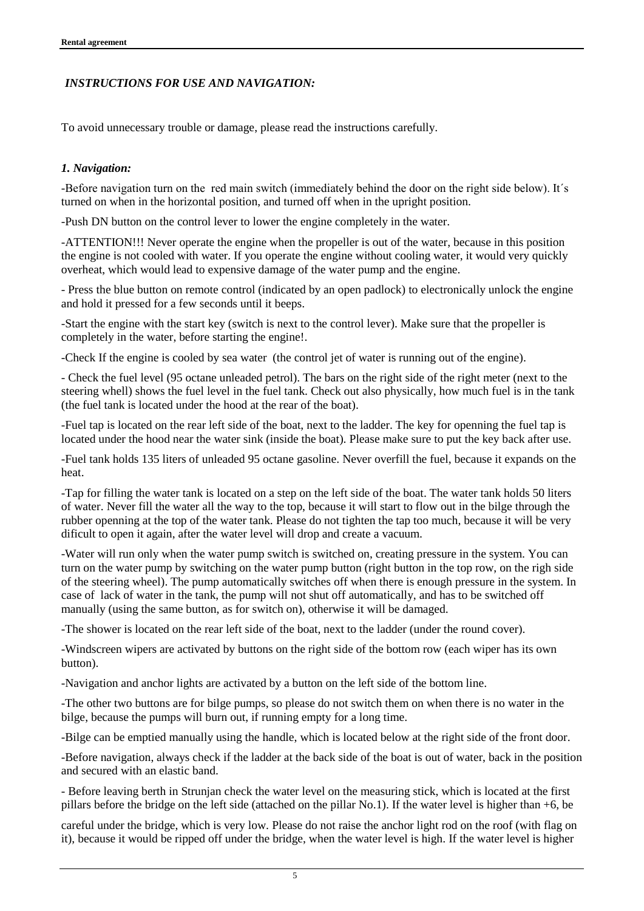# *INSTRUCTIONS FOR USE AND NAVIGATION:*

To avoid unnecessary trouble or damage, please read the instructions carefully.

# *1. Navigation:*

-Before navigation turn on the red main switch (immediately behind the door on the right side below). It´s turned on when in the horizontal position, and turned off when in the upright position.

-Push DN button on the control lever to lower the engine completely in the water.

-ATTENTION!!! Never operate the engine when the propeller is out of the water, because in this position the engine is not cooled with water. If you operate the engine without cooling water, it would very quickly overheat, which would lead to expensive damage of the water pump and the engine.

- Press the blue button on remote control (indicated by an open padlock) to electronically unlock the engine and hold it pressed for a few seconds until it beeps.

-Start the engine with the start key (switch is next to the control lever). Make sure that the propeller is completely in the water, before starting the engine!.

-Check If the engine is cooled by sea water (the control jet of water is running out of the engine).

- Check the fuel level (95 octane unleaded petrol). The bars on the right side of the right meter (next to the steering whell) shows the fuel level in the fuel tank. Check out also physically, how much fuel is in the tank (the fuel tank is located under the hood at the rear of the boat).

-Fuel tap is located on the rear left side of the boat, next to the ladder. The key for openning the fuel tap is located under the hood near the water sink (inside the boat). Please make sure to put the key back after use.

-Fuel tank holds 135 liters of unleaded 95 octane gasoline. Never overfill the fuel, because it expands on the heat.

-Tap for filling the water tank is located on a step on the left side of the boat. The water tank holds 50 liters of water. Never fill the water all the way to the top, because it will start to flow out in the bilge through the rubber openning at the top of the water tank. Please do not tighten the tap too much, because it will be very dificult to open it again, after the water level will drop and create a vacuum.

-Water will run only when the water pump switch is switched on, creating pressure in the system. You can turn on the water pump by switching on the water pump button (right button in the top row, on the righ side of the steering wheel). The pump automatically switches off when there is enough pressure in the system. In case of lack of water in the tank, the pump will not shut off automatically, and has to be switched off manually (using the same button, as for switch on), otherwise it will be damaged.

-The shower is located on the rear left side of the boat, next to the ladder (under the round cover).

-Windscreen wipers are activated by buttons on the right side of the bottom row (each wiper has its own button).

-Navigation and anchor lights are activated by a button on the left side of the bottom line.

-The other two buttons are for bilge pumps, so please do not switch them on when there is no water in the bilge, because the pumps will burn out, if running empty for a long time.

-Bilge can be emptied manually using the handle, which is located below at the right side of the front door.

-Before navigation, always check if the ladder at the back side of the boat is out of water, back in the position and secured with an elastic band.

- Before leaving berth in Strunjan check the water level on the measuring stick, which is located at the first pillars before the bridge on the left side (attached on the pillar No.1). If the water level is higher than +6, be

careful under the bridge, which is very low. Please do not raise the anchor light rod on the roof (with flag on it), because it would be ripped off under the bridge, when the water level is high. If the water level is higher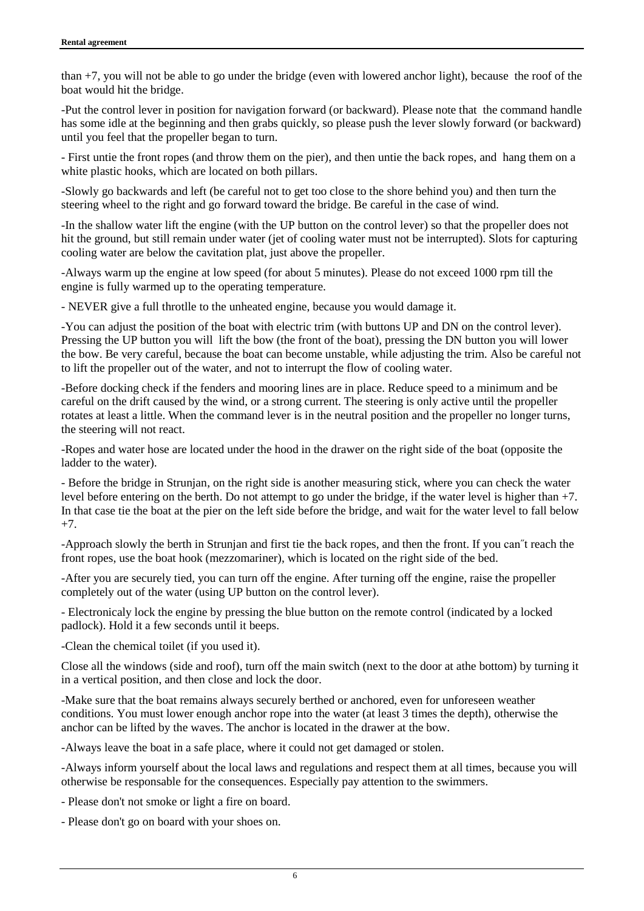than +7, you will not be able to go under the bridge (even with lowered anchor light), because the roof of the boat would hit the bridge.

-Put the control lever in position for navigation forward (or backward). Please note that the command handle has some idle at the beginning and then grabs quickly, so please push the lever slowly forward (or backward) until you feel that the propeller began to turn.

- First untie the front ropes (and throw them on the pier), and then untie the back ropes, and hang them on a white plastic hooks, which are located on both pillars.

-Slowly go backwards and left (be careful not to get too close to the shore behind you) and then turn the steering wheel to the right and go forward toward the bridge. Be careful in the case of wind.

-In the shallow water lift the engine (with the UP button on the control lever) so that the propeller does not hit the ground, but still remain under water (jet of cooling water must not be interrupted). Slots for capturing cooling water are below the cavitation plat, just above the propeller.

-Always warm up the engine at low speed (for about 5 minutes). Please do not exceed 1000 rpm till the engine is fully warmed up to the operating temperature.

- NEVER give a full throtlle to the unheated engine, because you would damage it.

-You can adjust the position of the boat with electric trim (with buttons UP and DN on the control lever). Pressing the UP button you will lift the bow (the front of the boat), pressing the DN button you will lower the bow. Be very careful, because the boat can become unstable, while adjusting the trim. Also be careful not to lift the propeller out of the water, and not to interrupt the flow of cooling water.

-Before docking check if the fenders and mooring lines are in place. Reduce speed to a minimum and be careful on the drift caused by the wind, or a strong current. The steering is only active until the propeller rotates at least a little. When the command lever is in the neutral position and the propeller no longer turns, the steering will not react.

-Ropes and water hose are located under the hood in the drawer on the right side of the boat (opposite the ladder to the water).

- Before the bridge in Strunjan, on the right side is another measuring stick, where you can check the water level before entering on the berth. Do not attempt to go under the bridge, if the water level is higher than +7. In that case tie the boat at the pier on the left side before the bridge, and wait for the water level to fall below +7.

-Approach slowly the berth in Strunjan and first tie the back ropes, and then the front. If you can˝t reach the front ropes, use the boat hook (mezzomariner), which is located on the right side of the bed.

-After you are securely tied, you can turn off the engine. After turning off the engine, raise the propeller completely out of the water (using UP button on the control lever).

- Electronicaly lock the engine by pressing the blue button on the remote control (indicated by a locked padlock). Hold it a few seconds until it beeps.

-Clean the chemical toilet (if you used it).

Close all the windows (side and roof), turn off the main switch (next to the door at athe bottom) by turning it in a vertical position, and then close and lock the door.

-Make sure that the boat remains always securely berthed or anchored, even for unforeseen weather conditions. You must lower enough anchor rope into the water (at least 3 times the depth), otherwise the anchor can be lifted by the waves. The anchor is located in the drawer at the bow.

-Always leave the boat in a safe place, where it could not get damaged or stolen.

-Always inform yourself about the local laws and regulations and respect them at all times, because you will otherwise be responsable for the consequences. Especially pay attention to the swimmers.

- Please don't not smoke or light a fire on board.

- Please don't go on board with your shoes on.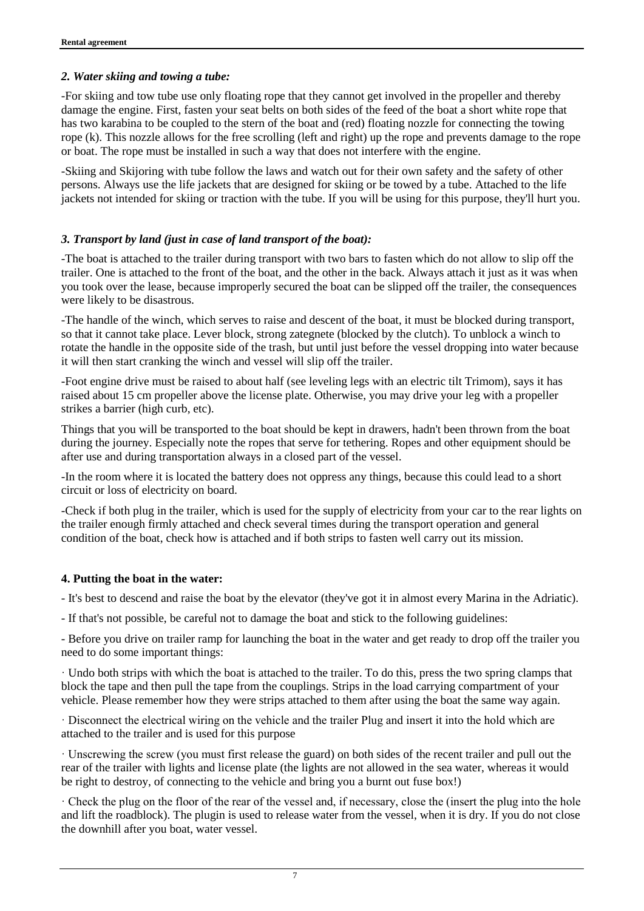# *2. Water skiing and towing a tube:*

-For skiing and tow tube use only floating rope that they cannot get involved in the propeller and thereby damage the engine. First, fasten your seat belts on both sides of the feed of the boat a short white rope that has two karabina to be coupled to the stern of the boat and (red) floating nozzle for connecting the towing rope (k). This nozzle allows for the free scrolling (left and right) up the rope and prevents damage to the rope or boat. The rope must be installed in such a way that does not interfere with the engine.

-Skiing and Skijoring with tube follow the laws and watch out for their own safety and the safety of other persons. Always use the life jackets that are designed for skiing or be towed by a tube. Attached to the life jackets not intended for skiing or traction with the tube. If you will be using for this purpose, they'll hurt you.

# *3. Transport by land (just in case of land transport of the boat):*

-The boat is attached to the trailer during transport with two bars to fasten which do not allow to slip off the trailer. One is attached to the front of the boat, and the other in the back. Always attach it just as it was when you took over the lease, because improperly secured the boat can be slipped off the trailer, the consequences were likely to be disastrous.

-The handle of the winch, which serves to raise and descent of the boat, it must be blocked during transport, so that it cannot take place. Lever block, strong zategnete (blocked by the clutch). To unblock a winch to rotate the handle in the opposite side of the trash, but until just before the vessel dropping into water because it will then start cranking the winch and vessel will slip off the trailer.

-Foot engine drive must be raised to about half (see leveling legs with an electric tilt Trimom), says it has raised about 15 cm propeller above the license plate. Otherwise, you may drive your leg with a propeller strikes a barrier (high curb, etc).

Things that you will be transported to the boat should be kept in drawers, hadn't been thrown from the boat during the journey. Especially note the ropes that serve for tethering. Ropes and other equipment should be after use and during transportation always in a closed part of the vessel.

-In the room where it is located the battery does not oppress any things, because this could lead to a short circuit or loss of electricity on board.

-Check if both plug in the trailer, which is used for the supply of electricity from your car to the rear lights on the trailer enough firmly attached and check several times during the transport operation and general condition of the boat, check how is attached and if both strips to fasten well carry out its mission.

#### **4. Putting the boat in the water:**

- It's best to descend and raise the boat by the elevator (they've got it in almost every Marina in the Adriatic).

- If that's not possible, be careful not to damage the boat and stick to the following guidelines:

- Before you drive on trailer ramp for launching the boat in the water and get ready to drop off the trailer you need to do some important things:

· Undo both strips with which the boat is attached to the trailer. To do this, press the two spring clamps that block the tape and then pull the tape from the couplings. Strips in the load carrying compartment of your vehicle. Please remember how they were strips attached to them after using the boat the same way again.

· Disconnect the electrical wiring on the vehicle and the trailer Plug and insert it into the hold which are attached to the trailer and is used for this purpose

· Unscrewing the screw (you must first release the guard) on both sides of the recent trailer and pull out the rear of the trailer with lights and license plate (the lights are not allowed in the sea water, whereas it would be right to destroy, of connecting to the vehicle and bring you a burnt out fuse box!)

· Check the plug on the floor of the rear of the vessel and, if necessary, close the (insert the plug into the hole and lift the roadblock). The plugin is used to release water from the vessel, when it is dry. If you do not close the downhill after you boat, water vessel.

7